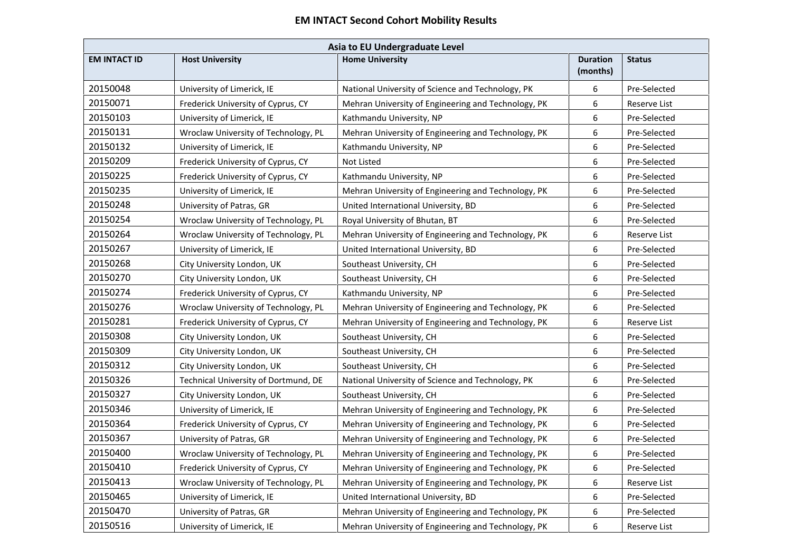| Asia to EU Undergraduate Level |                                      |                                                     |                             |               |  |
|--------------------------------|--------------------------------------|-----------------------------------------------------|-----------------------------|---------------|--|
| <b>EM INTACT ID</b>            | <b>Host University</b>               | <b>Home University</b>                              | <b>Duration</b><br>(months) | <b>Status</b> |  |
| 20150048                       | University of Limerick, IE           | National University of Science and Technology, PK   | 6                           | Pre-Selected  |  |
| 20150071                       | Frederick University of Cyprus, CY   | Mehran University of Engineering and Technology, PK | 6                           | Reserve List  |  |
| 20150103                       | University of Limerick, IE           | Kathmandu University, NP                            | 6                           | Pre-Selected  |  |
| 20150131                       | Wroclaw University of Technology, PL | Mehran University of Engineering and Technology, PK | 6                           | Pre-Selected  |  |
| 20150132                       | University of Limerick, IE           | Kathmandu University, NP                            | 6                           | Pre-Selected  |  |
| 20150209                       | Frederick University of Cyprus, CY   | Not Listed                                          | 6                           | Pre-Selected  |  |
| 20150225                       | Frederick University of Cyprus, CY   | Kathmandu University, NP                            | 6                           | Pre-Selected  |  |
| 20150235                       | University of Limerick, IE           | Mehran University of Engineering and Technology, PK | 6                           | Pre-Selected  |  |
| 20150248                       | University of Patras, GR             | United International University, BD                 | 6                           | Pre-Selected  |  |
| 20150254                       | Wroclaw University of Technology, PL | Royal University of Bhutan, BT                      | 6                           | Pre-Selected  |  |
| 20150264                       | Wroclaw University of Technology, PL | Mehran University of Engineering and Technology, PK | 6                           | Reserve List  |  |
| 20150267                       | University of Limerick, IE           | United International University, BD                 | 6                           | Pre-Selected  |  |
| 20150268                       | City University London, UK           | Southeast University, CH                            | 6                           | Pre-Selected  |  |
| 20150270                       | City University London, UK           | Southeast University, CH                            | 6                           | Pre-Selected  |  |
| 20150274                       | Frederick University of Cyprus, CY   | Kathmandu University, NP                            | 6                           | Pre-Selected  |  |
| 20150276                       | Wroclaw University of Technology, PL | Mehran University of Engineering and Technology, PK | 6                           | Pre-Selected  |  |
| 20150281                       | Frederick University of Cyprus, CY   | Mehran University of Engineering and Technology, PK | 6                           | Reserve List  |  |
| 20150308                       | City University London, UK           | Southeast University, CH                            | 6                           | Pre-Selected  |  |
| 20150309                       | City University London, UK           | Southeast University, CH                            | 6                           | Pre-Selected  |  |
| 20150312                       | City University London, UK           | Southeast University, CH                            | 6                           | Pre-Selected  |  |
| 20150326                       | Technical University of Dortmund, DE | National University of Science and Technology, PK   | 6                           | Pre-Selected  |  |
| 20150327                       | City University London, UK           | Southeast University, CH                            | 6                           | Pre-Selected  |  |
| 20150346                       | University of Limerick, IE           | Mehran University of Engineering and Technology, PK | 6                           | Pre-Selected  |  |
| 20150364                       | Frederick University of Cyprus, CY   | Mehran University of Engineering and Technology, PK | 6                           | Pre-Selected  |  |
| 20150367                       | University of Patras, GR             | Mehran University of Engineering and Technology, PK | 6                           | Pre-Selected  |  |
| 20150400                       | Wroclaw University of Technology, PL | Mehran University of Engineering and Technology, PK | 6                           | Pre-Selected  |  |
| 20150410                       | Frederick University of Cyprus, CY   | Mehran University of Engineering and Technology, PK | 6                           | Pre-Selected  |  |
| 20150413                       | Wroclaw University of Technology, PL | Mehran University of Engineering and Technology, PK | 6                           | Reserve List  |  |
| 20150465                       | University of Limerick, IE           | United International University, BD                 | 6                           | Pre-Selected  |  |
| 20150470                       | University of Patras, GR             | Mehran University of Engineering and Technology, PK | 6                           | Pre-Selected  |  |
| 20150516                       | University of Limerick, IE           | Mehran University of Engineering and Technology, PK | 6                           | Reserve List  |  |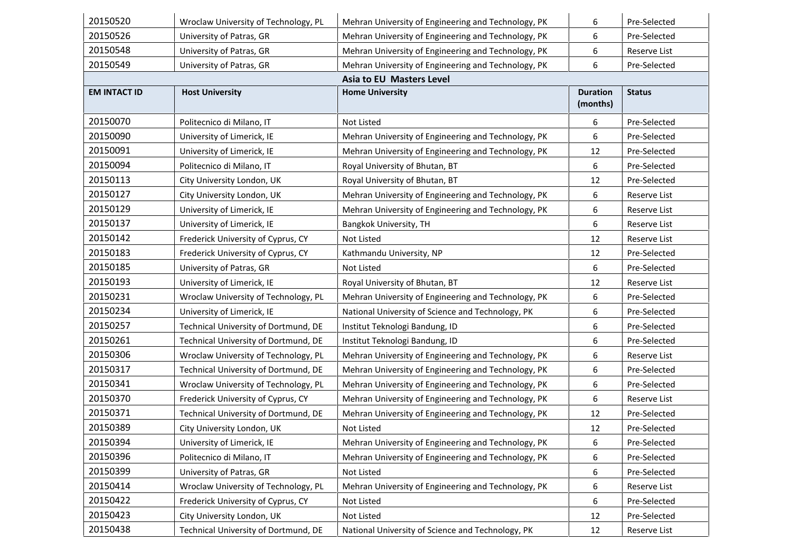| 20150520            | Wroclaw University of Technology, PL | Mehran University of Engineering and Technology, PK | 6               | Pre-Selected  |
|---------------------|--------------------------------------|-----------------------------------------------------|-----------------|---------------|
| 20150526            | University of Patras, GR             | Mehran University of Engineering and Technology, PK | 6               | Pre-Selected  |
| 20150548            | University of Patras, GR             | Mehran University of Engineering and Technology, PK | 6               | Reserve List  |
| 20150549            | University of Patras, GR             | Mehran University of Engineering and Technology, PK | 6               | Pre-Selected  |
|                     |                                      | <b>Asia to EU Masters Level</b>                     |                 |               |
| <b>EM INTACT ID</b> | <b>Host University</b>               | <b>Home University</b>                              | <b>Duration</b> | <b>Status</b> |
|                     |                                      |                                                     | (months)        |               |
| 20150070            | Politecnico di Milano, IT            | Not Listed                                          | 6               | Pre-Selected  |
| 20150090            | University of Limerick, IE           | Mehran University of Engineering and Technology, PK | 6               | Pre-Selected  |
| 20150091            | University of Limerick, IE           | Mehran University of Engineering and Technology, PK | 12              | Pre-Selected  |
| 20150094            | Politecnico di Milano, IT            | Royal University of Bhutan, BT                      | 6               | Pre-Selected  |
| 20150113            | City University London, UK           | Royal University of Bhutan, BT                      | 12              | Pre-Selected  |
| 20150127            | City University London, UK           | Mehran University of Engineering and Technology, PK | 6               | Reserve List  |
| 20150129            | University of Limerick, IE           | Mehran University of Engineering and Technology, PK | 6               | Reserve List  |
| 20150137            | University of Limerick, IE           | Bangkok University, TH                              | 6               | Reserve List  |
| 20150142            | Frederick University of Cyprus, CY   | Not Listed                                          | 12              | Reserve List  |
| 20150183            | Frederick University of Cyprus, CY   | Kathmandu University, NP                            | 12              | Pre-Selected  |
| 20150185            | University of Patras, GR             | Not Listed                                          | 6               | Pre-Selected  |
| 20150193            | University of Limerick, IE           | Royal University of Bhutan, BT                      | 12              | Reserve List  |
| 20150231            | Wroclaw University of Technology, PL | Mehran University of Engineering and Technology, PK | 6               | Pre-Selected  |
| 20150234            | University of Limerick, IE           | National University of Science and Technology, PK   | 6               | Pre-Selected  |
| 20150257            | Technical University of Dortmund, DE | Institut Teknologi Bandung, ID                      | 6               | Pre-Selected  |
| 20150261            | Technical University of Dortmund, DE | Institut Teknologi Bandung, ID                      | 6               | Pre-Selected  |
| 20150306            | Wroclaw University of Technology, PL | Mehran University of Engineering and Technology, PK | 6               | Reserve List  |
| 20150317            | Technical University of Dortmund, DE | Mehran University of Engineering and Technology, PK | 6               | Pre-Selected  |
| 20150341            | Wroclaw University of Technology, PL | Mehran University of Engineering and Technology, PK | 6               | Pre-Selected  |
| 20150370            | Frederick University of Cyprus, CY   | Mehran University of Engineering and Technology, PK | 6               | Reserve List  |
| 20150371            | Technical University of Dortmund, DE | Mehran University of Engineering and Technology, PK | 12              | Pre-Selected  |
| 20150389            | City University London, UK           | Not Listed                                          | 12              | Pre-Selected  |
| 20150394            | University of Limerick, IE           | Mehran University of Engineering and Technology, PK | 6               | Pre-Selected  |
| 20150396            | Politecnico di Milano, IT            | Mehran University of Engineering and Technology, PK | 6               | Pre-Selected  |
| 20150399            | University of Patras, GR             | Not Listed                                          | 6               | Pre-Selected  |
| 20150414            | Wroclaw University of Technology, PL | Mehran University of Engineering and Technology, PK | 6               | Reserve List  |
| 20150422            | Frederick University of Cyprus, CY   | Not Listed                                          | 6               | Pre-Selected  |
| 20150423            | City University London, UK           | Not Listed                                          | 12              | Pre-Selected  |
| 20150438            | Technical University of Dortmund, DE | National University of Science and Technology, PK   | 12              | Reserve List  |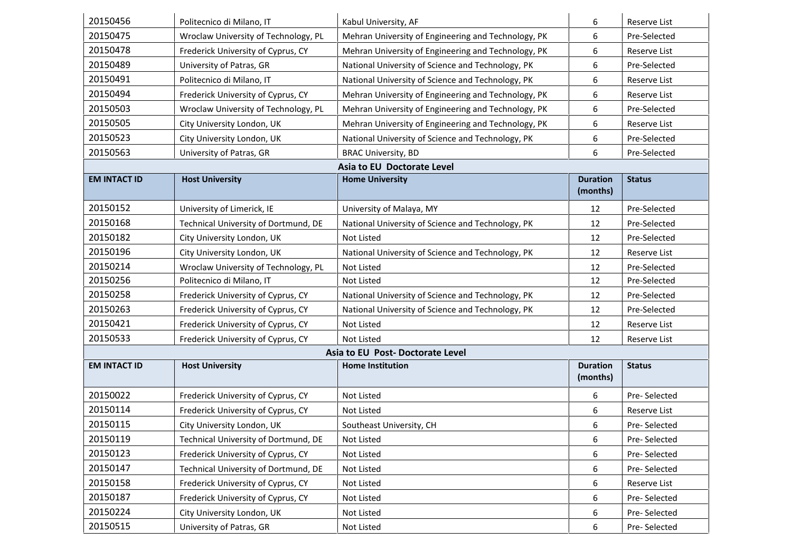| 20150456                        | Politecnico di Milano, IT            | Kabul University, AF                                | 6                           | Reserve List  |  |
|---------------------------------|--------------------------------------|-----------------------------------------------------|-----------------------------|---------------|--|
| 20150475                        | Wroclaw University of Technology, PL | Mehran University of Engineering and Technology, PK | 6                           | Pre-Selected  |  |
| 20150478                        | Frederick University of Cyprus, CY   | Mehran University of Engineering and Technology, PK | 6                           | Reserve List  |  |
| 20150489                        | University of Patras, GR             | National University of Science and Technology, PK   | 6                           | Pre-Selected  |  |
| 20150491                        | Politecnico di Milano, IT            | National University of Science and Technology, PK   | 6                           | Reserve List  |  |
| 20150494                        | Frederick University of Cyprus, CY   | Mehran University of Engineering and Technology, PK | 6                           | Reserve List  |  |
| 20150503                        | Wroclaw University of Technology, PL | Mehran University of Engineering and Technology, PK | 6                           | Pre-Selected  |  |
| 20150505                        | City University London, UK           | Mehran University of Engineering and Technology, PK | 6                           | Reserve List  |  |
| 20150523                        | City University London, UK           | National University of Science and Technology, PK   | 6                           | Pre-Selected  |  |
| 20150563                        | University of Patras, GR             | <b>BRAC University, BD</b>                          | 6                           | Pre-Selected  |  |
|                                 |                                      | Asia to EU Doctorate Level                          |                             |               |  |
| <b>EM INTACT ID</b>             | <b>Host University</b>               | <b>Home University</b>                              | <b>Duration</b><br>(months) | <b>Status</b> |  |
|                                 |                                      |                                                     |                             |               |  |
| 20150152                        | University of Limerick, IE           | University of Malaya, MY                            | 12                          | Pre-Selected  |  |
| 20150168                        | Technical University of Dortmund, DE | National University of Science and Technology, PK   | 12                          | Pre-Selected  |  |
| 20150182                        | City University London, UK           | Not Listed                                          | 12                          | Pre-Selected  |  |
| 20150196                        | City University London, UK           | National University of Science and Technology, PK   | 12                          | Reserve List  |  |
| 20150214                        | Wroclaw University of Technology, PL | Not Listed                                          | 12                          | Pre-Selected  |  |
| 20150256                        | Politecnico di Milano, IT            | Not Listed                                          | 12                          | Pre-Selected  |  |
| 20150258                        | Frederick University of Cyprus, CY   | National University of Science and Technology, PK   | 12                          | Pre-Selected  |  |
| 20150263                        | Frederick University of Cyprus, CY   | National University of Science and Technology, PK   | 12                          | Pre-Selected  |  |
| 20150421                        | Frederick University of Cyprus, CY   | Not Listed                                          | 12                          | Reserve List  |  |
| 20150533                        | Frederick University of Cyprus, CY   | Not Listed                                          | 12                          | Reserve List  |  |
| Asia to EU Post-Doctorate Level |                                      |                                                     |                             |               |  |
| <b>EM INTACT ID</b>             | <b>Host University</b>               | <b>Home Institution</b>                             | <b>Duration</b><br>(months) | <b>Status</b> |  |
| 20150022                        | Frederick University of Cyprus, CY   | Not Listed                                          | 6                           | Pre-Selected  |  |
| 20150114                        | Frederick University of Cyprus, CY   | Not Listed                                          | 6                           | Reserve List  |  |
| 20150115                        | City University London, UK           | Southeast University, CH                            | 6                           | Pre-Selected  |  |
| 20150119                        | Technical University of Dortmund, DE | Not Listed                                          | 6                           | Pre-Selected  |  |
| 20150123                        | Frederick University of Cyprus, CY   | Not Listed                                          | 6                           | Pre-Selected  |  |
| 20150147                        | Technical University of Dortmund, DE | Not Listed                                          | 6                           | Pre-Selected  |  |
| 20150158                        | Frederick University of Cyprus, CY   | Not Listed                                          | 6                           | Reserve List  |  |
| 20150187                        | Frederick University of Cyprus, CY   | Not Listed                                          | 6                           | Pre-Selected  |  |
| 20150224                        | City University London, UK           | Not Listed                                          | 6                           | Pre-Selected  |  |
| 20150515                        | University of Patras, GR             | Not Listed                                          | 6                           | Pre-Selected  |  |